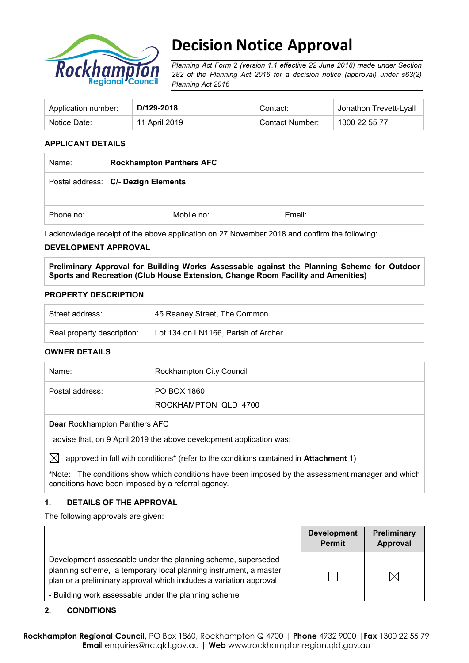

# **Decision Notice Approval**

*Planning Act Form 2 (version 1.1 effective 22 June 2018) made under Section 282 of the Planning Act 2016 for a decision notice (approval) under s63(2) Planning Act 2016*

| Application number: | D/129-2018    | Contact:        | <sup>⊥</sup> Jonathon Trevett-Lyall |
|---------------------|---------------|-----------------|-------------------------------------|
| Notice Date:        | 11 April 2019 | Contact Number: | 1300 22 55 77                       |

#### **APPLICANT DETAILS**

| Name:     | <b>Rockhampton Panthers AFC</b>     |        |  |
|-----------|-------------------------------------|--------|--|
|           | Postal address: C/- Dezign Elements |        |  |
| Phone no: | Mobile no:                          | Email: |  |

I acknowledge receipt of the above application on 27 November 2018 and confirm the following:

#### **DEVELOPMENT APPROVAL**

**Preliminary Approval for Building Works Assessable against the Planning Scheme for Outdoor Sports and Recreation (Club House Extension, Change Room Facility and Amenities)**

#### **PROPERTY DESCRIPTION**

| ` Street address:          | 45 Reaney Street, The Common        |  |
|----------------------------|-------------------------------------|--|
| Real property description: | Lot 134 on LN1166, Parish of Archer |  |

#### **OWNER DETAILS**

| Name:           | Rockhampton City Council            |
|-----------------|-------------------------------------|
| Postal address: | PO BOX 1860<br>ROCKHAMPTON QLD 4700 |
|                 |                                     |

**Dear** Rockhampton Panthers AFC

I advise that, on 9 April 2019 the above development application was:

 $\boxtimes$  approved in full with conditions<sup>\*</sup> (refer to the conditions contained in **Attachment 1**)

**\***Note:The conditions show which conditions have been imposed by the assessment manager and which conditions have been imposed by a referral agency.

#### **1. DETAILS OF THE APPROVAL**

The following approvals are given:

|                                                                                                                                                                                                        | <b>Development</b><br><b>Permit</b> | Preliminary<br>Approval |
|--------------------------------------------------------------------------------------------------------------------------------------------------------------------------------------------------------|-------------------------------------|-------------------------|
| Development assessable under the planning scheme, superseded<br>planning scheme, a temporary local planning instrument, a master<br>plan or a preliminary approval which includes a variation approval |                                     |                         |
| - Building work assessable under the planning scheme                                                                                                                                                   |                                     |                         |

#### **2. CONDITIONS**

**Rockhampton Regional Council,** PO Box 1860, Rockhampton Q 4700 | **Phone** 4932 9000 |**Fax** 1300 22 55 79 **Emai**l enquiries@rrc.qld.gov.au | **Web** www.rockhamptonregion.qld.gov.au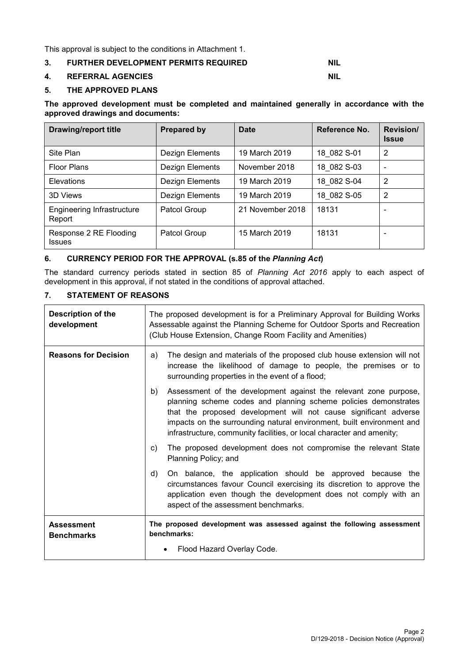This approval is subject to the conditions in Attachment 1.

#### **3. FURTHER DEVELOPMENT PERMITS REQUIRED NIL**

#### **4. REFERRAL AGENCIES NIL**

#### **5. THE APPROVED PLANS**

**The approved development must be completed and maintained generally in accordance with the approved drawings and documents:**

| <b>Drawing/report title</b>             | <b>Prepared by</b> | <b>Date</b>      | Reference No. | <b>Revision/</b><br><b>Issue</b> |
|-----------------------------------------|--------------------|------------------|---------------|----------------------------------|
| Site Plan                               | Dezign Elements    | 19 March 2019    | 18 082 S-01   | 2                                |
| <b>Floor Plans</b>                      | Dezign Elements    | November 2018    | 18 082 S-03   |                                  |
| Elevations                              | Dezign Elements    | 19 March 2019    | 18 082 S-04   | 2                                |
| 3D Views                                | Dezign Elements    | 19 March 2019    | 18 082 S-05   | 2                                |
| Engineering Infrastructure<br>Report    | Patcol Group       | 21 November 2018 | 18131         |                                  |
| Response 2 RE Flooding<br><b>Issues</b> | Patcol Group       | 15 March 2019    | 18131         |                                  |

#### **6. CURRENCY PERIOD FOR THE APPROVAL (s.85 of the** *Planning Act***)**

The standard currency periods stated in section 85 of *Planning Act 2016* apply to each aspect of development in this approval, if not stated in the conditions of approval attached.

#### **7. STATEMENT OF REASONS**

| <b>Description of the</b><br>development | The proposed development is for a Preliminary Approval for Building Works<br>Assessable against the Planning Scheme for Outdoor Sports and Recreation<br>(Club House Extension, Change Room Facility and Amenities)                                                                                                                                             |  |  |
|------------------------------------------|-----------------------------------------------------------------------------------------------------------------------------------------------------------------------------------------------------------------------------------------------------------------------------------------------------------------------------------------------------------------|--|--|
| <b>Reasons for Decision</b>              | The design and materials of the proposed club house extension will not<br>a)<br>increase the likelihood of damage to people, the premises or to<br>surrounding properties in the event of a flood;                                                                                                                                                              |  |  |
|                                          | Assessment of the development against the relevant zone purpose,<br>b)<br>planning scheme codes and planning scheme policies demonstrates<br>that the proposed development will not cause significant adverse<br>impacts on the surrounding natural environment, built environment and<br>infrastructure, community facilities, or local character and amenity; |  |  |
|                                          | The proposed development does not compromise the relevant State<br>C)<br>Planning Policy; and                                                                                                                                                                                                                                                                   |  |  |
|                                          | On balance, the application should be approved because the<br>d)<br>circumstances favour Council exercising its discretion to approve the<br>application even though the development does not comply with an<br>aspect of the assessment benchmarks.                                                                                                            |  |  |
| <b>Assessment</b><br><b>Benchmarks</b>   | The proposed development was assessed against the following assessment<br>benchmarks:                                                                                                                                                                                                                                                                           |  |  |
|                                          | Flood Hazard Overlay Code.                                                                                                                                                                                                                                                                                                                                      |  |  |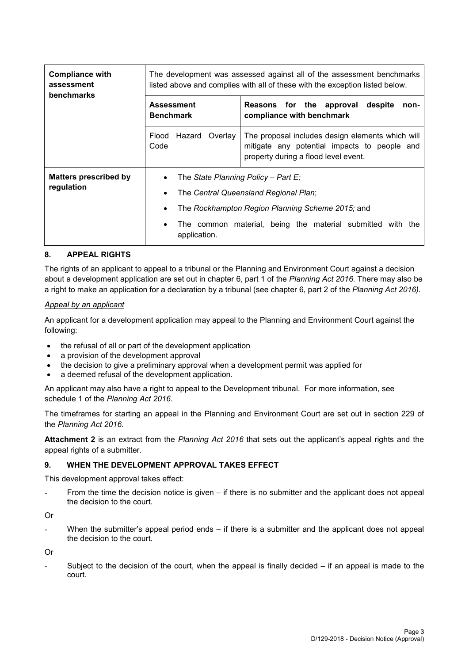| <b>Compliance with</b><br>assessment<br><b>benchmarks</b> | The development was assessed against all of the assessment benchmarks<br>listed above and complies with all of these with the exception listed below.                                                               |                                                                                                                                          |  |
|-----------------------------------------------------------|---------------------------------------------------------------------------------------------------------------------------------------------------------------------------------------------------------------------|------------------------------------------------------------------------------------------------------------------------------------------|--|
|                                                           | <b>Assessment</b><br><b>Benchmark</b>                                                                                                                                                                               | Reasons for the approval<br>despite<br>non-<br>compliance with benchmark                                                                 |  |
|                                                           | Hazard<br>Overlay<br>Flood<br>Code                                                                                                                                                                                  | The proposal includes design elements which will<br>mitigate any potential impacts to people and<br>property during a flood level event. |  |
| <b>Matters prescribed by</b><br>regulation                | The State Planning Policy – Part E:<br>٠<br>The Central Queensland Regional Plan;<br>The Rockhampton Region Planning Scheme 2015; and<br>The common material, being the material submitted with the<br>application. |                                                                                                                                          |  |

#### **8. APPEAL RIGHTS**

The rights of an applicant to appeal to a tribunal or the Planning and Environment Court against a decision about a development application are set out in chapter 6, part 1 of the *Planning Act 2016*. There may also be a right to make an application for a declaration by a tribunal (see chapter 6, part 2 of the *Planning Act 2016).*

#### *Appeal by an applicant*

An applicant for a development application may appeal to the Planning and Environment Court against the following:

- the refusal of all or part of the development application
- a provision of the development approval
- the decision to give a preliminary approval when a development permit was applied for
- a deemed refusal of the development application.

An applicant may also have a right to appeal to the Development tribunal. For more information, see schedule 1 of the *Planning Act 2016*.

The timeframes for starting an appeal in the Planning and Environment Court are set out in section 229 of the *Planning Act 2016*.

**Attachment 2** is an extract from the *Planning Act 2016* that sets out the applicant's appeal rights and the appeal rights of a submitter.

#### **9. WHEN THE DEVELOPMENT APPROVAL TAKES EFFECT**

This development approval takes effect:

From the time the decision notice is given  $-$  if there is no submitter and the applicant does not appeal the decision to the court.

Or

When the submitter's appeal period ends  $-$  if there is a submitter and the applicant does not appeal the decision to the court.

Or

Subject to the decision of the court, when the appeal is finally decided  $-$  if an appeal is made to the court.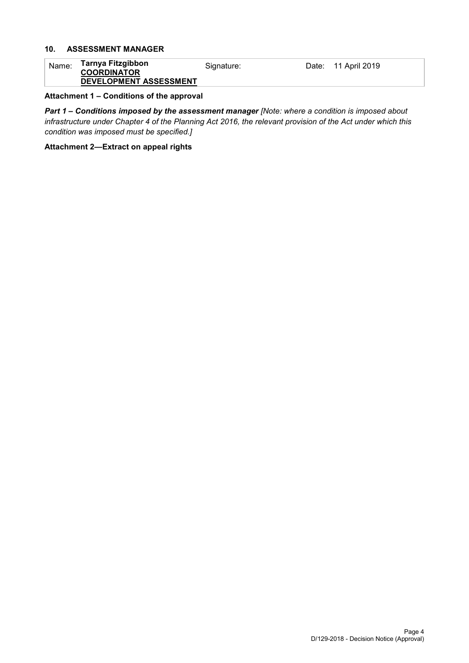# **10. ASSESSMENT MANAGER**

| Name: | Tarnya Fitzgibbon      | Signature: | Date: 11 April 2019 |
|-------|------------------------|------------|---------------------|
|       | <b>COORDINATOR</b>     |            |                     |
|       | DEVELOPMENT ASSESSMENT |            |                     |

#### **Attachment 1 – Conditions of the approval**

*Part 1* **–** *Conditions imposed by the assessment manager [Note: where a condition is imposed about infrastructure under Chapter 4 of the Planning Act 2016, the relevant provision of the Act under which this condition was imposed must be specified.]*

#### **Attachment 2—Extract on appeal rights**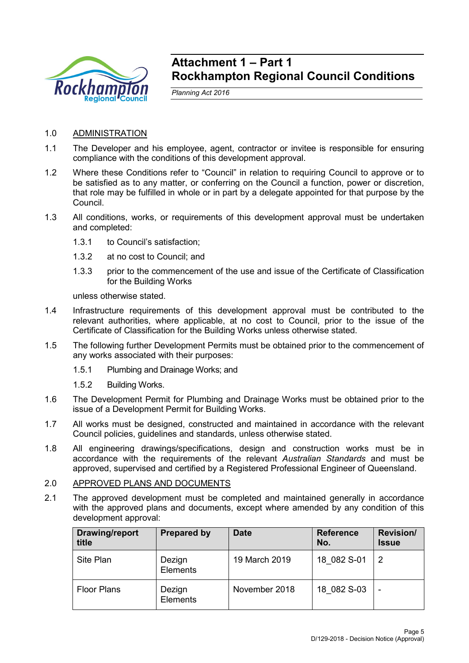

# **Attachment 1 – Part 1 Rockhampton Regional Council Conditions**

*Planning Act 2016*

- 1.0 ADMINISTRATION
- 1.1 The Developer and his employee, agent, contractor or invitee is responsible for ensuring compliance with the conditions of this development approval.
- 1.2 Where these Conditions refer to "Council" in relation to requiring Council to approve or to be satisfied as to any matter, or conferring on the Council a function, power or discretion, that role may be fulfilled in whole or in part by a delegate appointed for that purpose by the Council.
- 1.3 All conditions, works, or requirements of this development approval must be undertaken and completed:
	- 1.3.1 to Council's satisfaction;
	- 1.3.2 at no cost to Council; and
	- 1.3.3 prior to the commencement of the use and issue of the Certificate of Classification for the Building Works

unless otherwise stated.

- 1.4 Infrastructure requirements of this development approval must be contributed to the relevant authorities, where applicable, at no cost to Council, prior to the issue of the Certificate of Classification for the Building Works unless otherwise stated.
- 1.5 The following further Development Permits must be obtained prior to the commencement of any works associated with their purposes:
	- 1.5.1 Plumbing and Drainage Works; and
	- 1.5.2 Building Works.
- 1.6 The Development Permit for Plumbing and Drainage Works must be obtained prior to the issue of a Development Permit for Building Works.
- 1.7 All works must be designed, constructed and maintained in accordance with the relevant Council policies, guidelines and standards, unless otherwise stated.
- 1.8 All engineering drawings/specifications, design and construction works must be in accordance with the requirements of the relevant *Australian Standards* and must be approved, supervised and certified by a Registered Professional Engineer of Queensland.
- 2.0 APPROVED PLANS AND DOCUMENTS
- 2.1 The approved development must be completed and maintained generally in accordance with the approved plans and documents, except where amended by any condition of this development approval:

| Drawing/report<br>title | <b>Prepared by</b>        | <b>Date</b>   | <b>Reference</b><br>No. | <b>Revision/</b><br><b>Issue</b> |
|-------------------------|---------------------------|---------------|-------------------------|----------------------------------|
| Site Plan               | Dezign<br><b>Elements</b> | 19 March 2019 | 18 082 S-01             | 2                                |
| <b>Floor Plans</b>      | Dezign<br>Elements        | November 2018 | 18 082 S-03             |                                  |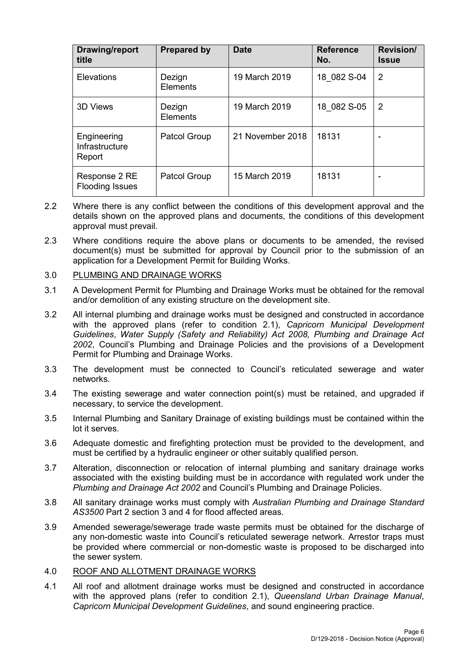| <b>Drawing/report</b><br>title          | <b>Prepared by</b>  | <b>Date</b>      | <b>Reference</b><br>No. | <b>Revision/</b><br><b>Issue</b> |
|-----------------------------------------|---------------------|------------------|-------------------------|----------------------------------|
| <b>Elevations</b>                       | Dezign<br>Elements  | 19 March 2019    | 18 082 S-04             | 2                                |
| <b>3D Views</b>                         | Dezign<br>Elements  | 19 March 2019    | 18 082 S-05             | 2                                |
| Engineering<br>Infrastructure<br>Report | <b>Patcol Group</b> | 21 November 2018 | 18131                   |                                  |
| Response 2 RE<br><b>Flooding Issues</b> | <b>Patcol Group</b> | 15 March 2019    | 18131                   |                                  |

- 2.2 Where there is any conflict between the conditions of this development approval and the details shown on the approved plans and documents, the conditions of this development approval must prevail.
- 2.3 Where conditions require the above plans or documents to be amended, the revised document(s) must be submitted for approval by Council prior to the submission of an application for a Development Permit for Building Works.

#### 3.0 PLUMBING AND DRAINAGE WORKS

- 3.1 A Development Permit for Plumbing and Drainage Works must be obtained for the removal and/or demolition of any existing structure on the development site.
- 3.2 All internal plumbing and drainage works must be designed and constructed in accordance with the approved plans (refer to condition 2.1), *Capricorn Municipal Development Guidelines*, *Water Supply (Safety and Reliability) Act 2008, Plumbing and Drainage Act 2002*, Council's Plumbing and Drainage Policies and the provisions of a Development Permit for Plumbing and Drainage Works.
- 3.3 The development must be connected to Council's reticulated sewerage and water networks.
- 3.4 The existing sewerage and water connection point(s) must be retained, and upgraded if necessary, to service the development.
- 3.5 Internal Plumbing and Sanitary Drainage of existing buildings must be contained within the lot it serves.
- 3.6 Adequate domestic and firefighting protection must be provided to the development, and must be certified by a hydraulic engineer or other suitably qualified person.
- 3.7 Alteration, disconnection or relocation of internal plumbing and sanitary drainage works associated with the existing building must be in accordance with regulated work under the *Plumbing and Drainage Act 2002* and Council's Plumbing and Drainage Policies.
- 3.8 All sanitary drainage works must comply with *Australian Plumbing and Drainage Standard AS3500* Part 2 section 3 and 4 for flood affected areas.
- 3.9 Amended sewerage/sewerage trade waste permits must be obtained for the discharge of any non-domestic waste into Council's reticulated sewerage network. Arrestor traps must be provided where commercial or non-domestic waste is proposed to be discharged into the sewer system.

#### 4.0 ROOF AND ALLOTMENT DRAINAGE WORKS

4.1 All roof and allotment drainage works must be designed and constructed in accordance with the approved plans (refer to condition 2.1), *Queensland Urban Drainage Manual*, *Capricorn Municipal Development Guidelines*, and sound engineering practice.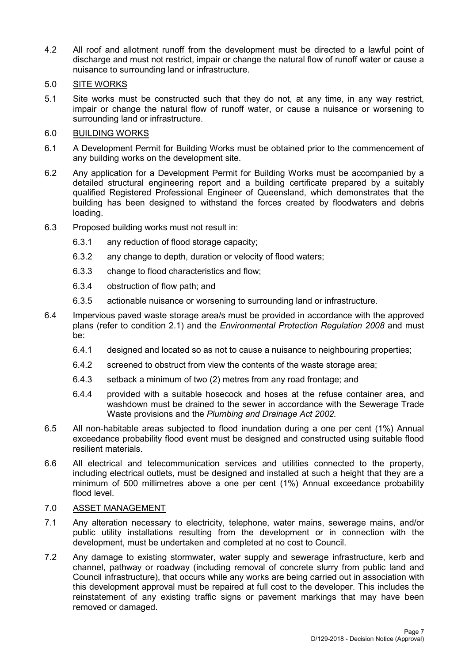- 4.2 All roof and allotment runoff from the development must be directed to a lawful point of discharge and must not restrict, impair or change the natural flow of runoff water or cause a nuisance to surrounding land or infrastructure.
- 5.0 SITE WORKS
- 5.1 Site works must be constructed such that they do not, at any time, in any way restrict, impair or change the natural flow of runoff water, or cause a nuisance or worsening to surrounding land or infrastructure.

## 6.0 BUILDING WORKS

- 6.1 A Development Permit for Building Works must be obtained prior to the commencement of any building works on the development site.
- 6.2 Any application for a Development Permit for Building Works must be accompanied by a detailed structural engineering report and a building certificate prepared by a suitably qualified Registered Professional Engineer of Queensland, which demonstrates that the building has been designed to withstand the forces created by floodwaters and debris loading.
- 6.3 Proposed building works must not result in:
	- 6.3.1 any reduction of flood storage capacity;
	- 6.3.2 any change to depth, duration or velocity of flood waters;
	- 6.3.3 change to flood characteristics and flow;
	- 6.3.4 obstruction of flow path; and
	- 6.3.5 actionable nuisance or worsening to surrounding land or infrastructure.
- 6.4 Impervious paved waste storage area/s must be provided in accordance with the approved plans (refer to condition 2.1) and the *Environmental Protection Regulation 2008* and must be:
	- 6.4.1 designed and located so as not to cause a nuisance to neighbouring properties;
	- 6.4.2 screened to obstruct from view the contents of the waste storage area;
	- 6.4.3 setback a minimum of two (2) metres from any road frontage; and
	- 6.4.4 provided with a suitable hosecock and hoses at the refuse container area, and washdown must be drained to the sewer in accordance with the Sewerage Trade Waste provisions and the *Plumbing and Drainage Act 2002.*
- 6.5 All non-habitable areas subjected to flood inundation during a one per cent (1%) Annual exceedance probability flood event must be designed and constructed using suitable flood resilient materials.
- 6.6 All electrical and telecommunication services and utilities connected to the property, including electrical outlets, must be designed and installed at such a height that they are a minimum of 500 millimetres above a one per cent (1%) Annual exceedance probability flood level.

# 7.0 ASSET MANAGEMENT

- 7.1 Any alteration necessary to electricity, telephone, water mains, sewerage mains, and/or public utility installations resulting from the development or in connection with the development, must be undertaken and completed at no cost to Council.
- 7.2 Any damage to existing stormwater, water supply and sewerage infrastructure, kerb and channel, pathway or roadway (including removal of concrete slurry from public land and Council infrastructure), that occurs while any works are being carried out in association with this development approval must be repaired at full cost to the developer. This includes the reinstatement of any existing traffic signs or pavement markings that may have been removed or damaged.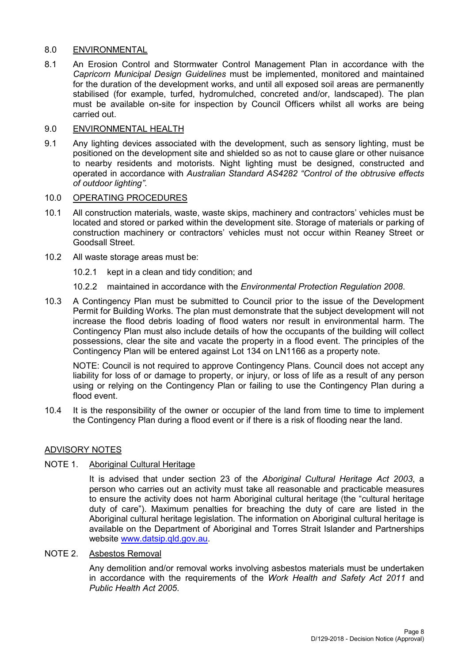### 8.0 ENVIRONMENTAL

8.1 An Erosion Control and Stormwater Control Management Plan in accordance with the *Capricorn Municipal Design Guidelines* must be implemented, monitored and maintained for the duration of the development works, and until all exposed soil areas are permanently stabilised (for example, turfed, hydromulched, concreted and/or, landscaped). The plan must be available on-site for inspection by Council Officers whilst all works are being carried out.

#### 9.0 ENVIRONMENTAL HEALTH

9.1 Any lighting devices associated with the development, such as sensory lighting, must be positioned on the development site and shielded so as not to cause glare or other nuisance to nearby residents and motorists. Night lighting must be designed, constructed and operated in accordance with *Australian Standard AS4282 "Control of the obtrusive effects of outdoor lighting"*.

#### 10.0 OPERATING PROCEDURES

- 10.1 All construction materials, waste, waste skips, machinery and contractors' vehicles must be located and stored or parked within the development site. Storage of materials or parking of construction machinery or contractors' vehicles must not occur within Reaney Street or Goodsall Street.
- 10.2 All waste storage areas must be:
	- 10.2.1 kept in a clean and tidy condition; and
	- 10.2.2 maintained in accordance with the *Environmental Protection Regulation 2008*.
- 10.3 A Contingency Plan must be submitted to Council prior to the issue of the Development Permit for Building Works. The plan must demonstrate that the subject development will not increase the flood debris loading of flood waters nor result in environmental harm. The Contingency Plan must also include details of how the occupants of the building will collect possessions, clear the site and vacate the property in a flood event. The principles of the Contingency Plan will be entered against Lot 134 on LN1166 as a property note.

NOTE: Council is not required to approve Contingency Plans. Council does not accept any liability for loss of or damage to property, or injury, or loss of life as a result of any person using or relying on the Contingency Plan or failing to use the Contingency Plan during a flood event.

10.4 It is the responsibility of the owner or occupier of the land from time to time to implement the Contingency Plan during a flood event or if there is a risk of flooding near the land.

#### ADVISORY NOTES

#### NOTE 1. Aboriginal Cultural Heritage

It is advised that under section 23 of the *Aboriginal Cultural Heritage Act 2003*, a person who carries out an activity must take all reasonable and practicable measures to ensure the activity does not harm Aboriginal cultural heritage (the "cultural heritage duty of care"). Maximum penalties for breaching the duty of care are listed in the Aboriginal cultural heritage legislation. The information on Aboriginal cultural heritage is available on the Department of Aboriginal and Torres Strait Islander and Partnerships website [www.datsip.qld.gov.au.](http://www.datsip.qld.gov.au/)

#### NOTE 2. Asbestos Removal

Any demolition and/or removal works involving asbestos materials must be undertaken in accordance with the requirements of the *Work Health and Safety Act 2011* and *Public Health Act 2005*.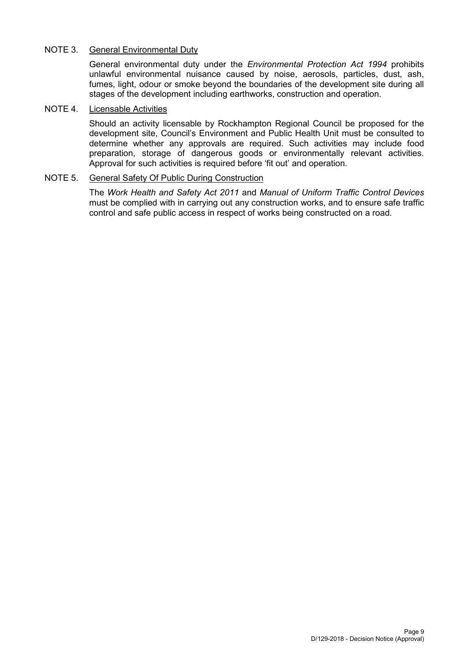## NOTE 3. General Environmental Duty

General environmental duty under the *Environmental Protection Act 1994* prohibits unlawful environmental nuisance caused by noise, aerosols, particles, dust, ash, fumes, light, odour or smoke beyond the boundaries of the development site during all stages of the development including earthworks, construction and operation.

### NOTE 4. Licensable Activities

Should an activity licensable by Rockhampton Regional Council be proposed for the development site, Council's Environment and Public Health Unit must be consulted to determine whether any approvals are required. Such activities may include food preparation, storage of dangerous goods or environmentally relevant activities. Approval for such activities is required before 'fit out' and operation.

### NOTE 5. General Safety Of Public During Construction

The *Work Health and Safety Act 2011* and *Manual of Uniform Traffic Control Devices* must be complied with in carrying out any construction works, and to ensure safe traffic control and safe public access in respect of works being constructed on a road.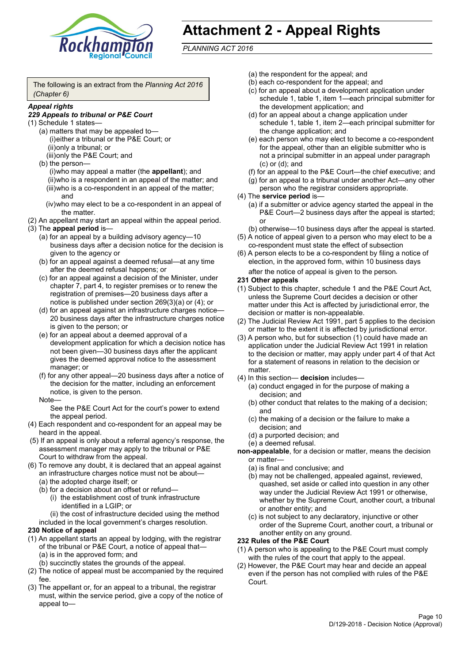

# **Attachment 2 - Appeal Rights**

*PLANNING ACT 2016*

The following is an extract from the *Planning Act 2016 (Chapter 6)*

#### *Appeal rights*

#### *229 Appeals to tribunal or P&E Court*

- (1) Schedule 1 states—
	- (a) matters that may be appealed to— (i)either a tribunal or the P&E Court; or (ii)only a tribunal; or (iii)only the P&E Court; and
	- (b) the person—

(i)who may appeal a matter (the **appellant**); and (ii)who is a respondent in an appeal of the matter; and (iii)who is a co-respondent in an appeal of the matter; and

- (iv)who may elect to be a co-respondent in an appeal of the matter.
- (2) An appellant may start an appeal within the appeal period.
- (3) The **appeal period** is—
	- (a) for an appeal by a building advisory agency—10 business days after a decision notice for the decision is given to the agency or
	- (b) for an appeal against a deemed refusal—at any time after the deemed refusal happens; or
	- (c) for an appeal against a decision of the Minister, under chapter 7, part 4, to register premises or to renew the registration of premises—20 business days after a notice is published under section 269(3)(a) or (4); or
	- (d) for an appeal against an infrastructure charges notice— 20 business days after the infrastructure charges notice is given to the person; or
	- (e) for an appeal about a deemed approval of a development application for which a decision notice has not been given—30 business days after the applicant gives the deemed approval notice to the assessment manager; or
	- (f) for any other appeal—20 business days after a notice of the decision for the matter, including an enforcement notice, is given to the person.

#### Note—

See the P&E Court Act for the court's power to extend the appeal period.

- (4) Each respondent and co-respondent for an appeal may be heard in the appeal.
- (5) If an appeal is only about a referral agency's response, the assessment manager may apply to the tribunal or P&E Court to withdraw from the appeal.
- (6) To remove any doubt, it is declared that an appeal against an infrastructure charges notice must not be about—
	- (a) the adopted charge itself; or
	- (b) for a decision about an offset or refund—
		- (i) the establishment cost of trunk infrastructure identified in a LGIP; or
		- (ii) the cost of infrastructure decided using the method

included in the local government's charges resolution.

#### **230 Notice of appeal**

- (1) An appellant starts an appeal by lodging, with the registrar of the tribunal or P&E Court, a notice of appeal that—
	- (a) is in the approved form; and
	- (b) succinctly states the grounds of the appeal.
- (2) The notice of appeal must be accompanied by the required fee.
- (3) The appellant or, for an appeal to a tribunal, the registrar must, within the service period, give a copy of the notice of appeal to—
- (a) the respondent for the appeal; and
- (b) each co-respondent for the appeal; and
- (c) for an appeal about a development application under schedule 1, table 1, item 1—each principal submitter for the development application; and
- (d) for an appeal about a change application under schedule 1, table 1, item 2—each principal submitter for the change application; and
- (e) each person who may elect to become a co-respondent for the appeal, other than an eligible submitter who is not a principal submitter in an appeal under paragraph (c) or (d); and
- (f) for an appeal to the P&E Court—the chief executive; and
- (g) for an appeal to a tribunal under another Act—any other person who the registrar considers appropriate.
- (4) The **service period** is—
	- (a) if a submitter or advice agency started the appeal in the P&E Court—2 business days after the appeal is started; or
	- (b) otherwise—10 business days after the appeal is started.
- (5) A notice of appeal given to a person who may elect to be a co-respondent must state the effect of subsection
- (6) A person elects to be a co-respondent by filing a notice of election, in the approved form, within 10 business days after the notice of appeal is given to the person*.*
- **231 Other appeals**
- (1) Subject to this chapter, schedule 1 and the P&E Court Act, unless the Supreme Court decides a decision or other matter under this Act is affected by jurisdictional error, the decision or matter is non-appealable.
- (2) The Judicial Review Act 1991, part 5 applies to the decision or matter to the extent it is affected by jurisdictional error.
- (3) A person who, but for subsection (1) could have made an application under the Judicial Review Act 1991 in relation to the decision or matter, may apply under part 4 of that Act for a statement of reasons in relation to the decision or matter.
- (4) In this section— **decision** includes—
	- (a) conduct engaged in for the purpose of making a decision; and
	- (b) other conduct that relates to the making of a decision; and
	- (c) the making of a decision or the failure to make a decision; and
	- (d) a purported decision; and
	- (e) a deemed refusal.

**non-appealable**, for a decision or matter, means the decision or matter—

- (a) is final and conclusive; and
- (b) may not be challenged, appealed against, reviewed, quashed, set aside or called into question in any other way under the Judicial Review Act 1991 or otherwise, whether by the Supreme Court, another court, a tribunal or another entity; and
- (c) is not subject to any declaratory, injunctive or other order of the Supreme Court, another court, a tribunal or another entity on any ground.

#### **232 Rules of the P&E Court**

- (1) A person who is appealing to the P&E Court must comply with the rules of the court that apply to the appeal.
- (2) However, the P&E Court may hear and decide an appeal even if the person has not complied with rules of the P&E Court.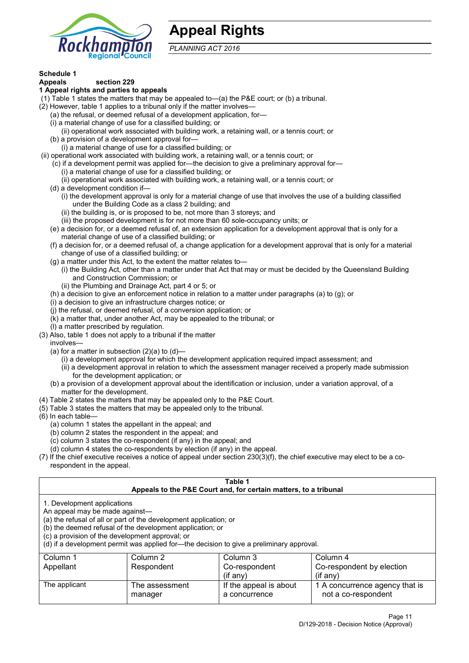

# **Appeal Rights**

*PLANNING ACT 2016*

# **Schedule 1**

#### **Appeals section 229 1 Appeal rights and parties to appeals**

- (1) Table 1 states the matters that may be appealed to—(a) the P&E court; or (b) a tribunal.
- (2) However, table 1 applies to a tribunal only if the matter involves—
	- (a) the refusal, or deemed refusal of a development application, for—
	- (i) a material change of use for a classified building; or
	- (ii) operational work associated with building work, a retaining wall, or a tennis court; or
	- (b) a provision of a development approval for—
	- (i) a material change of use for a classified building; or
- (ii) operational work associated with building work, a retaining wall, or a tennis court; or
	- (c) if a development permit was applied for—the decision to give a preliminary approval for—
		- (i) a material change of use for a classified building; or
		- (ii) operational work associated with building work, a retaining wall, or a tennis court; or
	- (d) a development condition if—
		- (i) the development approval is only for a material change of use that involves the use of a building classified under the Building Code as a class 2 building; and
		- (ii) the building is, or is proposed to be, not more than 3 storeys; and
		- (iii) the proposed development is for not more than 60 sole-occupancy units; or
	- (e) a decision for, or a deemed refusal of, an extension application for a development approval that is only for a material change of use of a classified building; or
	- (f) a decision for, or a deemed refusal of, a change application for a development approval that is only for a material change of use of a classified building; or
	- (g) a matter under this Act, to the extent the matter relates to—
		- (i) the Building Act, other than a matter under that Act that may or must be decided by the Queensland Building and Construction Commission; or
		- (ii) the Plumbing and Drainage Act, part 4 or 5; or
	- (h) a decision to give an enforcement notice in relation to a matter under paragraphs (a) to (g); or
	- (i) a decision to give an infrastructure charges notice; or
	- (j) the refusal, or deemed refusal, of a conversion application; or
	- (k) a matter that, under another Act, may be appealed to the tribunal; or
	- (l) a matter prescribed by regulation.
- (3) Also, table 1 does not apply to a tribunal if the matter

involves—

- (a) for a matter in subsection  $(2)(a)$  to  $(d)$ 
	- (i) a development approval for which the development application required impact assessment; and
	- (ii) a development approval in relation to which the assessment manager received a properly made submission for the development application; or
- (b) a provision of a development approval about the identification or inclusion, under a variation approval, of a matter for the development.
- (4) Table 2 states the matters that may be appealed only to the P&E Court.
- (5) Table 3 states the matters that may be appealed only to the tribunal.
- (6) In each table—
	- (a) column 1 states the appellant in the appeal; and
	- (b) column 2 states the respondent in the appeal; and
	- (c) column 3 states the co-respondent (if any) in the appeal; and
	- (d) column 4 states the co-respondents by election (if any) in the appeal.
- (7) If the chief executive receives a notice of appeal under section 230(3)(f), the chief executive may elect to be a corespondent in the appeal.

| Table 1<br>Appeals to the P&E Court and, for certain matters, to a tribunal                                                                         |                                                                                                                                                                                                                            |                                         |                                                       |  |
|-----------------------------------------------------------------------------------------------------------------------------------------------------|----------------------------------------------------------------------------------------------------------------------------------------------------------------------------------------------------------------------------|-----------------------------------------|-------------------------------------------------------|--|
| 1. Development applications<br>An appeal may be made against-<br>(c) a provision of the development approval; or                                    | (a) the refusal of all or part of the development application; or<br>(b) the deemed refusal of the development application; or<br>(d) if a development permit was applied for-the decision to give a preliminary approval. |                                         |                                                       |  |
| Column 1<br>Column 2<br>Column 3<br>Column 4<br>Co-respondent by election<br>Appellant<br>Respondent<br>Co-respondent<br>$(i$ f any)<br>$(i$ f any) |                                                                                                                                                                                                                            |                                         |                                                       |  |
| The applicant                                                                                                                                       | The assessment<br>manager                                                                                                                                                                                                  | If the appeal is about<br>a concurrence | 1 A concurrence agency that is<br>not a co-respondent |  |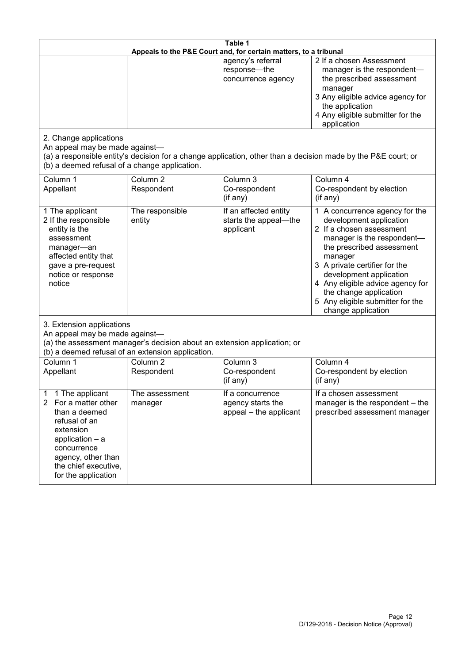| Table 1<br>Appeals to the P&E Court and, for certain matters, to a tribunal                                                                                                                                      |                                   |                                                                 |                                                                                                                                                                                                                                                                                                                                                 |  |
|------------------------------------------------------------------------------------------------------------------------------------------------------------------------------------------------------------------|-----------------------------------|-----------------------------------------------------------------|-------------------------------------------------------------------------------------------------------------------------------------------------------------------------------------------------------------------------------------------------------------------------------------------------------------------------------------------------|--|
|                                                                                                                                                                                                                  |                                   | agency's referral<br>response-the<br>concurrence agency         | 2 If a chosen Assessment<br>manager is the respondent-<br>the prescribed assessment<br>manager<br>3 Any eligible advice agency for<br>the application<br>4 Any eligible submitter for the<br>application                                                                                                                                        |  |
| 2. Change applications<br>An appeal may be made against-<br>(b) a deemed refusal of a change application.                                                                                                        |                                   |                                                                 | (a) a responsible entity's decision for a change application, other than a decision made by the P&E court; or                                                                                                                                                                                                                                   |  |
| Column 1<br>Appellant                                                                                                                                                                                            | Column <sub>2</sub><br>Respondent | Column 3<br>Co-respondent<br>(if any)                           | Column 4<br>Co-respondent by election<br>(if any)                                                                                                                                                                                                                                                                                               |  |
| 1 The applicant<br>2 If the responsible<br>entity is the<br>assessment<br>manager-an<br>affected entity that<br>gave a pre-request<br>notice or response<br>notice                                               | The responsible<br>entity         | If an affected entity<br>starts the appeal-the<br>applicant     | 1 A concurrence agency for the<br>development application<br>2 If a chosen assessment<br>manager is the respondent-<br>the prescribed assessment<br>manager<br>3 A private certifier for the<br>development application<br>4 Any eligible advice agency for<br>the change application<br>5 Any eligible submitter for the<br>change application |  |
| 3. Extension applications<br>An appeal may be made against-<br>(a) the assessment manager's decision about an extension application; or<br>(b) a deemed refusal of an extension application.                     |                                   |                                                                 |                                                                                                                                                                                                                                                                                                                                                 |  |
| Column 1<br>Appellant                                                                                                                                                                                            | Column <sub>2</sub><br>Respondent | Column 3<br>Co-respondent<br>(if any)                           | Column 4<br>Co-respondent by election<br>(if any)                                                                                                                                                                                                                                                                                               |  |
| 1 The applicant<br>1<br>For a matter other<br>$\mathbf{2}$<br>than a deemed<br>refusal of an<br>extension<br>application - a<br>concurrence<br>agency, other than<br>the chief executive,<br>for the application | The assessment<br>manager         | If a concurrence<br>agency starts the<br>appeal - the applicant | If a chosen assessment<br>manager is the respondent – the<br>prescribed assessment manager                                                                                                                                                                                                                                                      |  |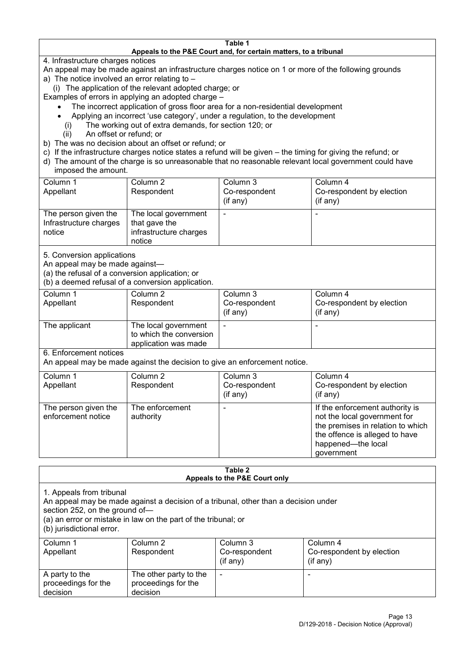#### **Table 1 Appeals to the P&E Court and, for certain matters, to a tribunal**

4. Infrastructure charges notices

- An appeal may be made against an infrastructure charges notice on 1 or more of the following grounds
- a) The notice involved an error relating to
	- (i) The application of the relevant adopted charge; or
- Examples of errors in applying an adopted charge
	- The incorrect application of gross floor area for a non-residential development
	- Applying an incorrect 'use category', under a regulation, to the development
	- (i) The working out of extra demands, for section 120; or
	- (ii) An offset or refund; or
- b) The was no decision about an offset or refund; or
- c) If the infrastructure charges notice states a refund will be given the timing for giving the refund; or
- d) The amount of the charge is so unreasonable that no reasonable relevant local government could have
- imposed the amount.

| Column 1                                                 | Column 2                                                                  | Column 3      | Column 4                  |
|----------------------------------------------------------|---------------------------------------------------------------------------|---------------|---------------------------|
| Appellant                                                | Respondent                                                                | Co-respondent | Co-respondent by election |
|                                                          |                                                                           | (if any)      | (if any)                  |
| The person given the<br>Infrastructure charges<br>notice | The local government<br>that gave the<br>infrastructure charges<br>notice | -             | $\overline{\phantom{a}}$  |

5. Conversion applications

An appeal may be made against—

(a) the refusal of a conversion application; or

(b) a deemed refusal of a conversion application.

| Column 1<br>Appellant | Column 2<br>Respondent                                                  | Column 3<br>Co-respondent | Column 4<br>Co-respondent by election |
|-----------------------|-------------------------------------------------------------------------|---------------------------|---------------------------------------|
|                       |                                                                         | $($ if any $)$            | $(if$ any)                            |
| The applicant         | The local government<br>to which the conversion<br>application was made |                           |                                       |

6. Enforcement notices

An appeal may be made against the decision to give an enforcement notice.

| Column 1<br>Appellant                      | Column 2<br>Respondent       | Column 3<br>Co-respondent<br>(if any) | Column 4<br>Co-respondent by election<br>(if any)                                                                                                                          |
|--------------------------------------------|------------------------------|---------------------------------------|----------------------------------------------------------------------------------------------------------------------------------------------------------------------------|
| The person given the<br>enforcement notice | The enforcement<br>authority |                                       | If the enforcement authority is<br>not the local government for<br>the premises in relation to which<br>the offence is alleged to have<br>happened-the local<br>government |

#### **Table 2 Appeals to the P&E Court only**

1. Appeals from tribunal

An appeal may be made against a decision of a tribunal, other than a decision under

section 252, on the ground of—

(a) an error or mistake in law on the part of the tribunal; or

(b) jurisdictional error.

| Column 1<br>Appellant                             | Column 2<br>Respondent                                    | Column 3<br>Co-respondent<br>$($ if any $)$ | Column 4<br>Co-respondent by election<br>$($ if any $)$ |
|---------------------------------------------------|-----------------------------------------------------------|---------------------------------------------|---------------------------------------------------------|
| A party to the<br>proceedings for the<br>decision | The other party to the<br>proceedings for the<br>decision | -                                           |                                                         |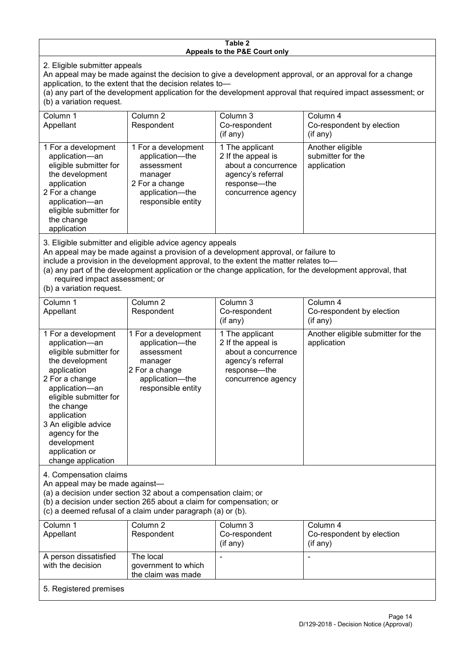#### **Table 2 Appeals to the P&E Court only**

2. Eligible submitter appeals

An appeal may be made against the decision to give a development approval, or an approval for a change application, to the extent that the decision relates to—

(a) any part of the development application for the development approval that required impact assessment; or (b) a variation request.

| Column 1<br>Appellant                                                                                                                                                                                                                                                                                                                                                                                               | Column 2<br>Respondent                                                                                                     | Column 3<br>Co-respondent<br>$(i$ f any $)$                                                                             | Column 4<br>Co-respondent by election<br>(if any)    |  |
|---------------------------------------------------------------------------------------------------------------------------------------------------------------------------------------------------------------------------------------------------------------------------------------------------------------------------------------------------------------------------------------------------------------------|----------------------------------------------------------------------------------------------------------------------------|-------------------------------------------------------------------------------------------------------------------------|------------------------------------------------------|--|
| 1 For a development<br>application-an<br>eligible submitter for<br>the development<br>application<br>2 For a change<br>application-an<br>eligible submitter for<br>the change<br>application                                                                                                                                                                                                                        | 1 For a development<br>application-the<br>assessment<br>manager<br>2 For a change<br>application-the<br>responsible entity | 1 The applicant<br>2 If the appeal is<br>about a concurrence<br>agency's referral<br>response-the<br>concurrence agency | Another eligible<br>submitter for the<br>application |  |
| 3. Eligible submitter and eligible advice agency appeals<br>An appeal may be made against a provision of a development approval, or failure to<br>include a provision in the development approval, to the extent the matter relates to-<br>(a) any part of the development application or the change application, for the development approval, that<br>required impact assessment; or<br>$(h)$ a variation request |                                                                                                                            |                                                                                                                         |                                                      |  |

(b) a variation request.

| Column 1<br>Appellant                                                                                                                                                                                                                                                                         | Column <sub>2</sub><br>Respondent                                                                                          | Column 3<br>Co-respondent<br>$($ if any $)$                                                                             | Column 4<br>Co-respondent by election<br>(if any) |
|-----------------------------------------------------------------------------------------------------------------------------------------------------------------------------------------------------------------------------------------------------------------------------------------------|----------------------------------------------------------------------------------------------------------------------------|-------------------------------------------------------------------------------------------------------------------------|---------------------------------------------------|
| 1 For a development<br>application-an<br>eligible submitter for<br>the development<br>application<br>2 For a change<br>application-an<br>eligible submitter for<br>the change<br>application<br>3 An eligible advice<br>agency for the<br>development<br>application or<br>change application | 1 For a development<br>application-the<br>assessment<br>manager<br>2 For a change<br>application-the<br>responsible entity | 1 The applicant<br>2 If the appeal is<br>about a concurrence<br>agency's referral<br>response-the<br>concurrence agency | Another eligible submitter for the<br>application |
| 4. Compensation claims<br>An appeal may be made against-<br>(a) a decision under section 32 about a compensation claim; or<br>(b) a decision under section 265 about a claim for compensation; or<br>(c) a deemed refusal of a claim under paragraph (a) or (b).                              |                                                                                                                            |                                                                                                                         |                                                   |
| Column 1                                                                                                                                                                                                                                                                                      | Column <sub>2</sub>                                                                                                        | Column 3                                                                                                                | Column 4                                          |
| Appellant                                                                                                                                                                                                                                                                                     | Respondent                                                                                                                 | Co-respondent<br>(if any)                                                                                               | Co-respondent by election<br>(if any)             |
| A person dissatisfied                                                                                                                                                                                                                                                                         | The local                                                                                                                  |                                                                                                                         |                                                   |
| with the decision                                                                                                                                                                                                                                                                             | government to which                                                                                                        |                                                                                                                         |                                                   |
|                                                                                                                                                                                                                                                                                               | the claim was made                                                                                                         |                                                                                                                         |                                                   |

5. Registered premises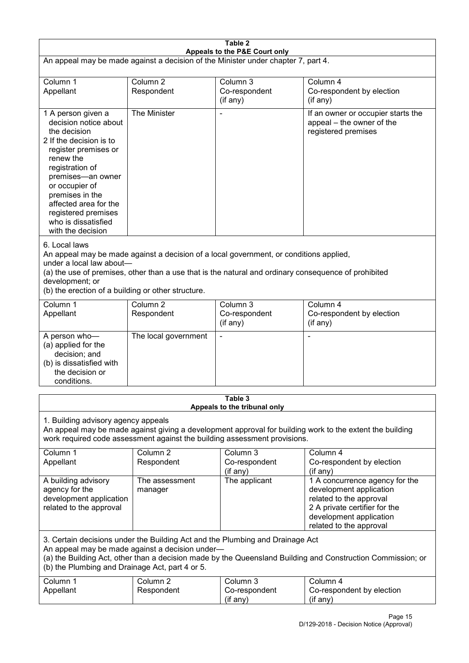| Table 2<br>Appeals to the P&E Court only                                                                                                                                                                                                                                                                             |                                   |                                       |                                                                                                                                                                             |  |
|----------------------------------------------------------------------------------------------------------------------------------------------------------------------------------------------------------------------------------------------------------------------------------------------------------------------|-----------------------------------|---------------------------------------|-----------------------------------------------------------------------------------------------------------------------------------------------------------------------------|--|
| An appeal may be made against a decision of the Minister under chapter 7, part 4.                                                                                                                                                                                                                                    |                                   |                                       |                                                                                                                                                                             |  |
| Column 1<br>Appellant                                                                                                                                                                                                                                                                                                | Column <sub>2</sub><br>Respondent | Column 3<br>Co-respondent<br>(if any) | Column 4<br>Co-respondent by election<br>(if any)                                                                                                                           |  |
| 1 A person given a<br>decision notice about<br>the decision<br>2 If the decision is to<br>register premises or<br>renew the<br>registration of<br>premises-an owner<br>or occupier of<br>premises in the<br>affected area for the<br>registered premises<br>who is dissatisfied<br>with the decision                 | The Minister                      |                                       | If an owner or occupier starts the<br>appeal – the owner of the<br>registered premises                                                                                      |  |
| 6. Local laws<br>An appeal may be made against a decision of a local government, or conditions applied,<br>under a local law about-<br>(a) the use of premises, other than a use that is the natural and ordinary consequence of prohibited<br>development; or<br>(b) the erection of a building or other structure. |                                   |                                       |                                                                                                                                                                             |  |
| Column 1<br>Appellant                                                                                                                                                                                                                                                                                                | Column <sub>2</sub><br>Respondent | Column 3<br>Co-respondent<br>(if any) | Column 4<br>Co-respondent by election<br>(if any)                                                                                                                           |  |
| A person who-<br>(a) applied for the<br>decision; and<br>(b) is dissatisfied with<br>the decision or<br>conditions.                                                                                                                                                                                                  | The local government              |                                       |                                                                                                                                                                             |  |
| Table 3<br>Appeals to the tribunal only                                                                                                                                                                                                                                                                              |                                   |                                       |                                                                                                                                                                             |  |
| 1. Building advisory agency appeals<br>An appeal may be made against giving a development approval for building work to the extent the building<br>work required code assessment against the building assessment provisions.                                                                                         |                                   |                                       |                                                                                                                                                                             |  |
| Column 1<br>Appellant                                                                                                                                                                                                                                                                                                | Column <sub>2</sub><br>Respondent | Column 3<br>Co-respondent<br>(if any) | Column 4<br>Co-respondent by election<br>(if any)                                                                                                                           |  |
| A building advisory<br>agency for the<br>development application<br>related to the approval                                                                                                                                                                                                                          | The assessment<br>manager         | The applicant                         | 1 A concurrence agency for the<br>development application<br>related to the approval<br>2 A private certifier for the<br>development application<br>related to the approval |  |
| 3. Certain decisions under the Building Act and the Plumbing and Drainage Act<br>An appeal may be made against a decision under-<br>(a) the Building Act, other than a decision made by the Queensland Building and Construction Commission; or<br>(b) the Plumbing and Drainage Act, part 4 or 5.                   |                                   |                                       |                                                                                                                                                                             |  |
| Column 1<br>Appellant                                                                                                                                                                                                                                                                                                | Column <sub>2</sub><br>Respondent | Column 3<br>Co-respondent<br>(if any) | Column 4<br>Co-respondent by election<br>(if any)                                                                                                                           |  |